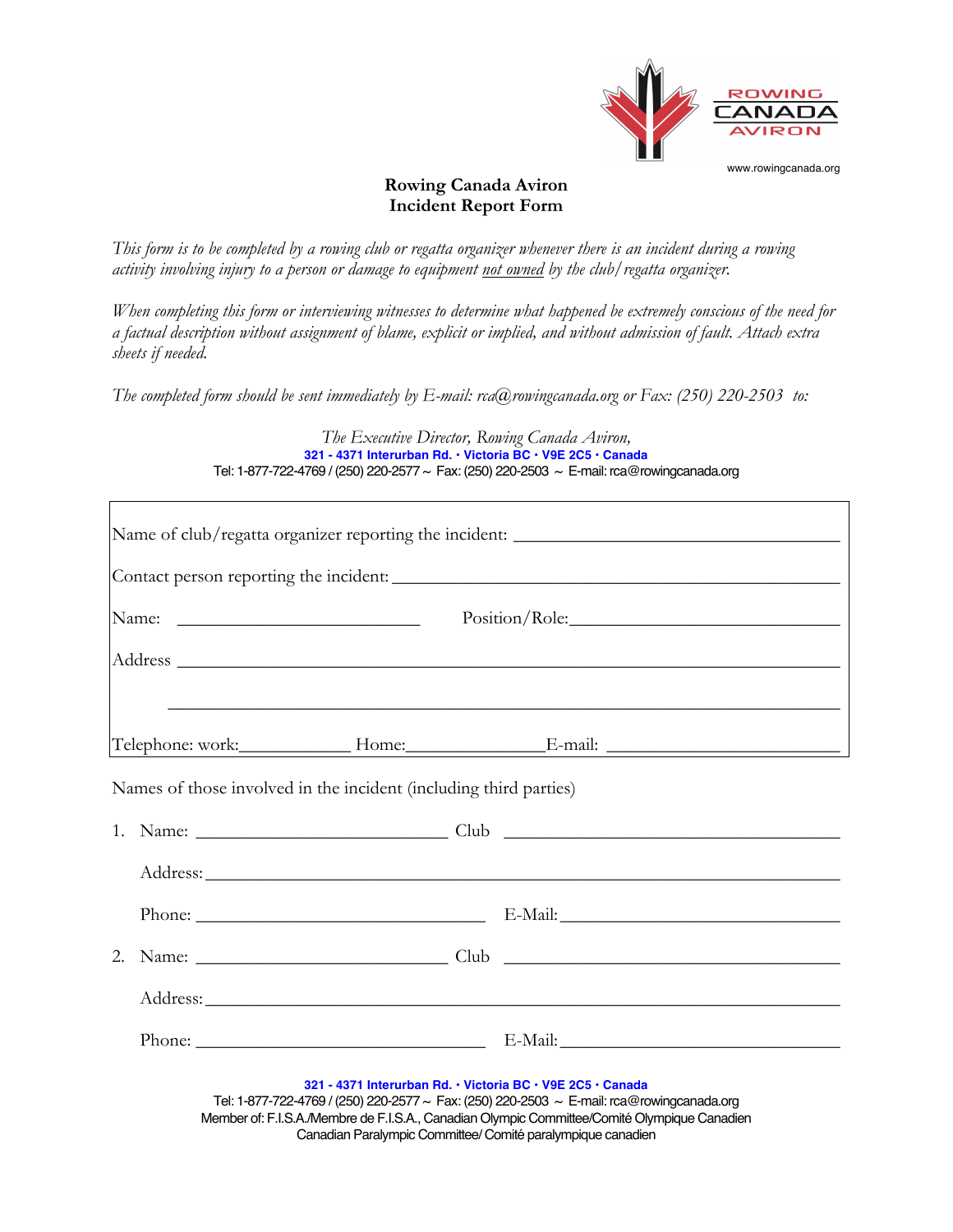

## **Rowing Canada Aviron Incident Report Form**

*This form is to be completed by a rowing club or regatta organizer whenever there is an incident during a rowing activity involving injury to a person or damage to equipment not owned by the club/regatta organizer.*

*When completing this form or interviewing witnesses to determine what happened be extremely conscious of the need for a factual description without assignment of blame, explicit or implied, and without admission of fault. Attach extra sheets if needed.*

*The completed form should be sent immediately by E-mail: rca@rowingcanada.org or Fax: (250) 220-2503 to:*

*The Executive Director, Rowing Canada Aviron,* **321 - 4371 Interurban Rd. • Victoria BC • V9E 2C5 • Canada** Tel: 1-877-722-4769 / (250) 220-2577 ~ Fax: (250) 220-2503 ~ E-mail: rca@rowingcanada.org

|         |  |                                                                                                                           |  | Name of club/regatta organizer reporting the incident: __________________________                                                                                                         |
|---------|--|---------------------------------------------------------------------------------------------------------------------------|--|-------------------------------------------------------------------------------------------------------------------------------------------------------------------------------------------|
|         |  |                                                                                                                           |  |                                                                                                                                                                                           |
|         |  | Position/Role:                                                                                                            |  |                                                                                                                                                                                           |
|         |  |                                                                                                                           |  |                                                                                                                                                                                           |
|         |  |                                                                                                                           |  | ,我们也不能在这里的人,我们也不能在这里的人,我们也不能在这里的人,我们也不能在这里的人,我们也不能在这里的人,我们也不能在这里的人,我们也不能在这里的人,我们也                                                                                                         |
|         |  | Names of those involved in the incident (including third parties)                                                         |  |                                                                                                                                                                                           |
|         |  |                                                                                                                           |  |                                                                                                                                                                                           |
|         |  |                                                                                                                           |  |                                                                                                                                                                                           |
|         |  |                                                                                                                           |  |                                                                                                                                                                                           |
| $2^{1}$ |  |                                                                                                                           |  |                                                                                                                                                                                           |
|         |  |                                                                                                                           |  |                                                                                                                                                                                           |
|         |  |                                                                                                                           |  |                                                                                                                                                                                           |
|         |  | 321 - 4371 Interurban Rd. . Victoria BC . V9E 2C5 . Canada<br>Canadian Paralympic Committee/ Comité paralympique canadien |  | Tel: 1-877-722-4769 / (250) 220-2577 ~ Fax: (250) 220-2503 ~ E-mail: rca@rowingcanada.org<br>Member of: F.I.S.A./Membre de F.I.S.A., Canadian Olympic Committee/Comité Olympique Canadien |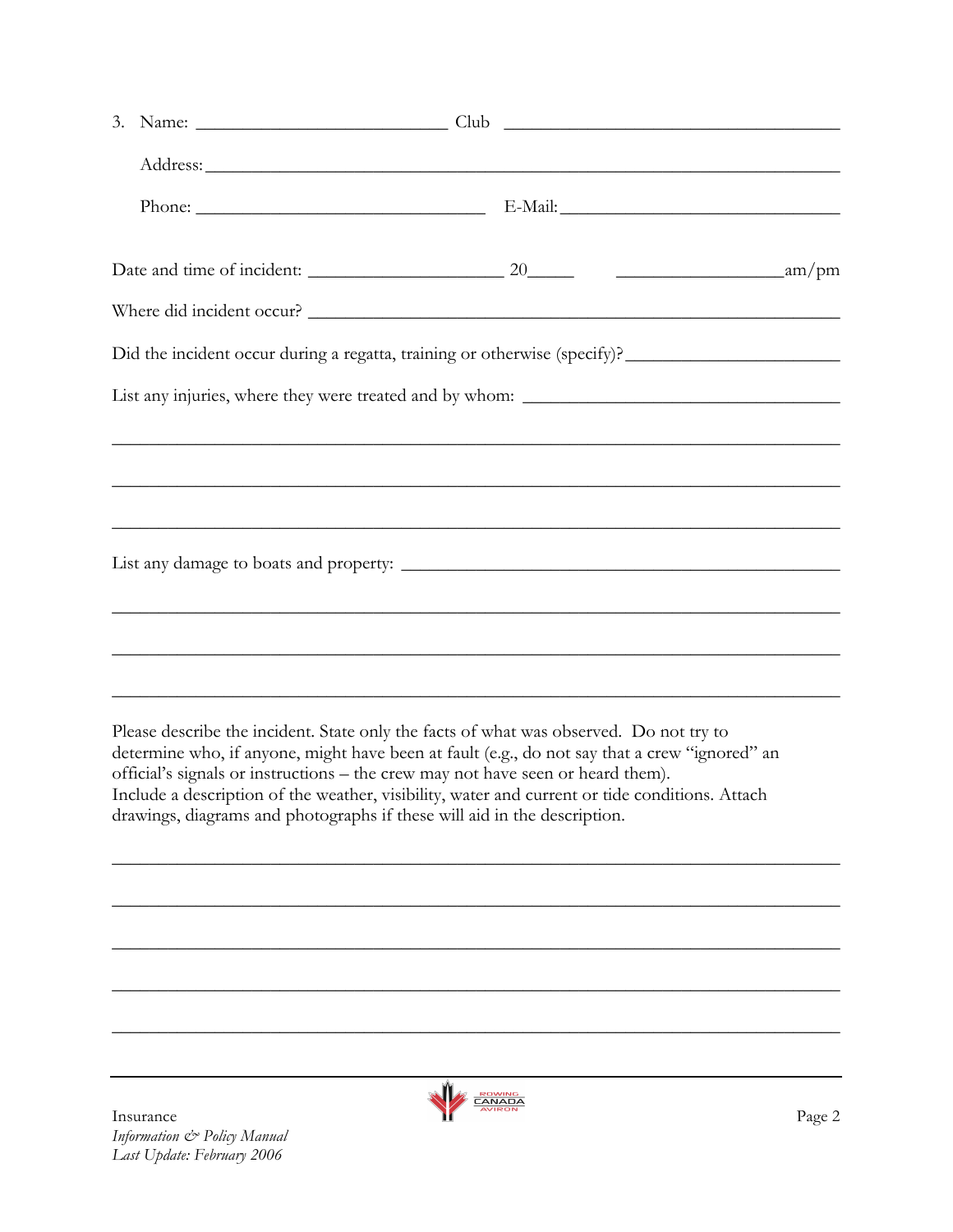| <b>ROWING</b><br><b>CANADA</b><br><b>AVIRON</b> | Page 2                                                                                                                                                                                                                                                                                                                                                                                                                                                                                                                                                                                                                                                                                             |  |  |
|-------------------------------------------------|----------------------------------------------------------------------------------------------------------------------------------------------------------------------------------------------------------------------------------------------------------------------------------------------------------------------------------------------------------------------------------------------------------------------------------------------------------------------------------------------------------------------------------------------------------------------------------------------------------------------------------------------------------------------------------------------------|--|--|
| Insurance                                       | Where did incident occur?<br><u> 1989 - Johann Barbara, marka marka masjid aka masjid aka masjid aka masjid aka masjid aka masjid aka masjid a</u><br>,我们也不能在这里的时候,我们也不能在这里的时候,我们也不能不能不能不能不能不能不能不能不能不能。""我们的人们也不能不能不能不能不能不能不能不能不能不能不能不<br>Please describe the incident. State only the facts of what was observed. Do not try to<br>determine who, if anyone, might have been at fault (e.g., do not say that a crew "ignored" an<br>official's signals or instructions - the crew may not have seen or heard them).<br>Include a description of the weather, visibility, water and current or tide conditions. Attach<br>drawings, diagrams and photographs if these will aid in the description. |  |  |

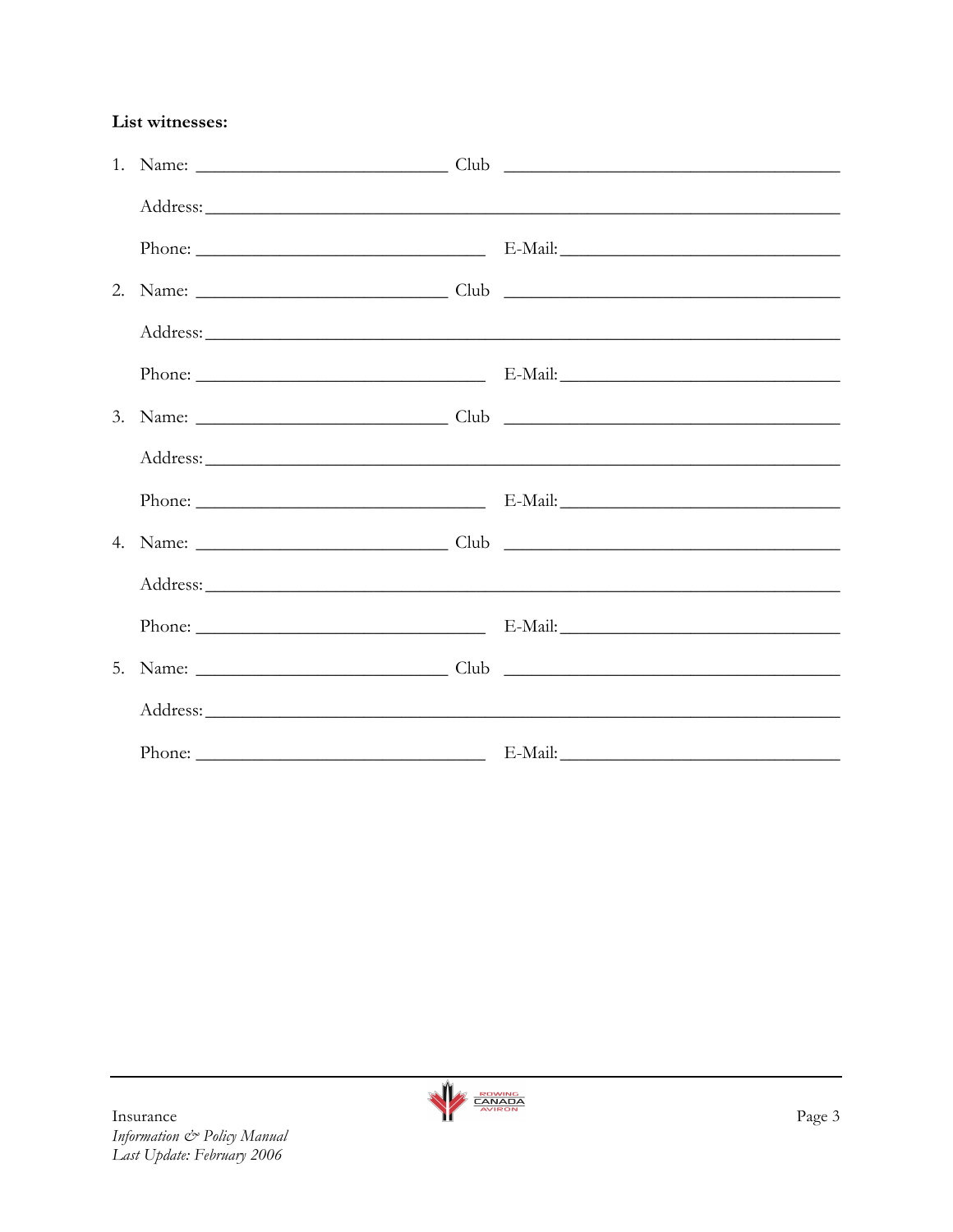List witnesses: